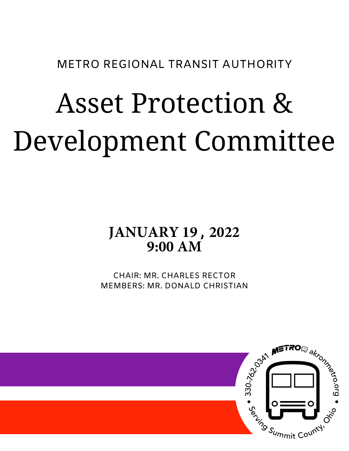METRO REGIONAL TRANSIT AUTHORITY

# Asset Protection & Development Committee

# **JANUARY 19 , 2022 9:00 AM**

CHAIR: MR. CHARLES RECTOR MEMBERS: MR. DONALD CHRISTIAN

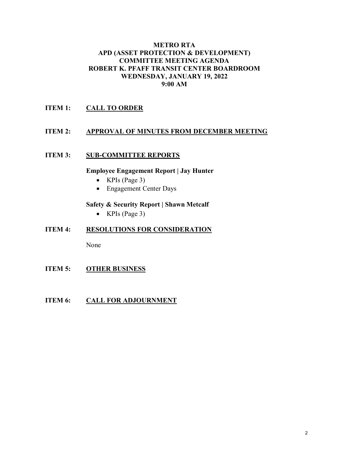#### **METRO RTA APD (ASSET PROTECTION & DEVELOPMENT) COMMITTEE MEETING AGENDA ROBERT K. PFAFF TRANSIT CENTER BOARDROOM WEDNESDAY, JANUARY 19, 2022 9:00 AM**

#### **ITEM 1: CALL TO ORDER**

#### **ITEM 2: APPROVAL OF MINUTES FROM DECEMBER MEETING**

#### **ITEM 3: SUB-COMMITTEE REPORTS**

#### **Employee Engagement Report | Jay Hunter**

- KPIs (Page 3)
- Engagement Center Days

#### **Safety & Security Report | Shawn Metcalf**

• KPIs (Page 3)

#### **ITEM 4: RESOLUTIONS FOR CONSIDERATION**

None

**ITEM 5: OTHER BUSINESS**

#### **ITEM 6:** CALL FOR ADJOURNMENT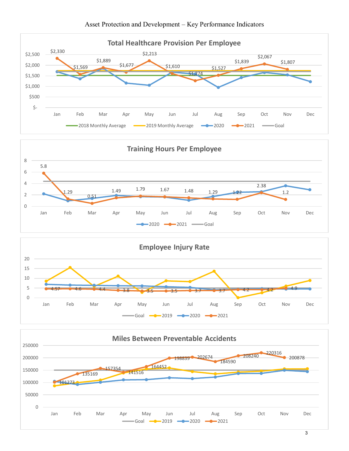





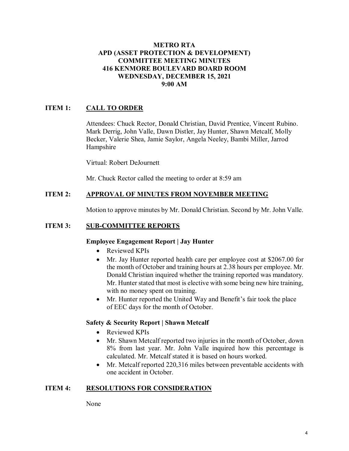#### **METRO RTA APD (ASSET PROTECTION & DEVELOPMENT) COMMITTEE MEETING MINUTES 416 KENMORE BOULEVARD BOARD ROOM WEDNESDAY, DECEMBER 15, 2021 9:00 AM**

#### **ITEM 1: CALL TO ORDER**

Attendees: Chuck Rector, Donald Christian, David Prentice, Vincent Rubino. Mark Derrig, John Valle, Dawn Distler, Jay Hunter, Shawn Metcalf, Molly Becker, Valerie Shea, Jamie Saylor, Angela Neeley, Bambi Miller, Jarrod Hampshire

Virtual: Robert DeJournett

Mr. Chuck Rector called the meeting to order at 8:59 am

#### **ITEM 2: APPROVAL OF MINUTES FROM NOVEMBER MEETING**

Motion to approve minutes by Mr. Donald Christian. Second by Mr. John Valle.

#### **ITEM 3: SUB-COMMITTEE REPORTS**

#### **Employee Engagement Report | Jay Hunter**

- Reviewed KPIs
- Mr. Jay Hunter reported health care per employee cost at \$2067.00 for the month of October and training hours at 2.38 hours per employee. Mr. Donald Christian inquired whether the training reported was mandatory. Mr. Hunter stated that most is elective with some being new hire training, with no money spent on training.
- Mr. Hunter reported the United Way and Benefit's fair took the place of EEC days for the month of October.

#### **Safety & Security Report | Shawn Metcalf**

- Reviewed KPIs
- Mr. Shawn Metcalf reported two injuries in the month of October, down 8% from last year. Mr. John Valle inquired how this percentage is calculated. Mr. Metcalf stated it is based on hours worked.
- Mr. Metcalf reported 220,316 miles between preventable accidents with one accident in October.

#### **ITEM 4: RESOLUTIONS FOR CONSIDERATION**

None